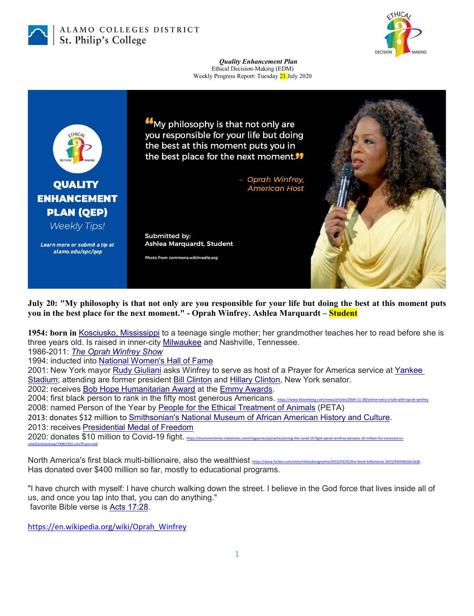

ALAMO COLLEGES DISTRICT St. Philip's College



## *Quality Enhancement Plan* Ethical Decision-Making (EDM) Weekly Progress Report: Tuesday 21 July 2020



**July 20: "My philosophy is that not only are you responsible for your life but doing the best at this moment puts you in the best place for the next moment." - Oprah Winfrey. Ashlea Marquardt – Student**

**1954: born in** [Kosciusko, Mississippi](https://en.wikipedia.org/wiki/Kosciusko,_Mississippi) to a teenage single mother; her grandmother teaches her to read before she is three years old. Is raised in inner-city [Milwaukee](https://en.wikipedia.org/wiki/Milwaukee) and Nashville, Tennessee.

1986-2011: *[The Oprah Winfrey Show](https://en.wikipedia.org/wiki/The_Oprah_Winfrey_Show)*

1994: inducted into [National Women's Hall of Fame](https://en.wikipedia.org/wiki/National_Women%27s_Hall_of_Fame)

2001: New York mayor [Rudy Giuliani](https://en.wikipedia.org/wiki/Rudy_Giuliani) asks Winfrey to serve as host of a Prayer for America service at [Yankee](https://en.wikipedia.org/wiki/Yankee_Stadium)  [Stadium;](https://en.wikipedia.org/wiki/Yankee_Stadium) attending are former president [Bill Clinton](https://en.wikipedia.org/wiki/Bill_Clinton) and [Hillary Clinton,](https://en.wikipedia.org/wiki/Hillary_Clinton) New York senator.

2002: receives [Bob Hope Humanitarian Award](https://en.wikipedia.org/wiki/Bob_Hope_Humanitarian_Award) at the [Emmy Awards.](https://en.wikipedia.org/wiki/Emmy_Awards)

2004: first black person to rank in the fifty most generous Americans. <https://www.bloomberg.com/news/articles/2004-11-28/online-extra-a-talk-with-oprah-winfrey>

2008: named Person of the Year by [People for the Ethical Treatment of Animals](https://en.wikipedia.org/wiki/People_for_the_Ethical_Treatment_of_Animals) (PETA)

2013: donates \$12 million to [Smithsonian's National Museum of African American History and Culture.](https://en.wikipedia.org/wiki/National_Museum_of_African_American_History_and_Culture)

2013: receives [Presidential Medal of Freedom](https://en.wikipedia.org/wiki/Presidential_Medal_of_Freedom)

2020: donates \$10 million to Covid-19 fight. https://ec [relief/articleshow/74961352.cms?from=mdr](https://economictimes.indiatimes.com/magazines/panache/joining-the-covid-19-fight-oprah-winfrey-donates-10-million-for-coronavirus-relief/articleshow/74961352.cms?from=mdr)

North America's first black multi-billionaire, also the wealthiest <https://www.forbes.com/sites/mfonobongnsehe/2015/03/02/the-black-billionaires-2015/#3059d16e1636> . Has donated over \$400 million so far, mostly to educational programs.

"I have church with myself: I have church walking down the street. I believe in the God force that lives inside all of us, and once you tap into that, you can do anything." favorite Bible verse is [Acts 17:28.](https://en.wikipedia.org/wiki/Acts_17:28)

[https://en.wikipedia.org/wiki/Oprah\\_Winfrey](https://en.wikipedia.org/wiki/Oprah_Winfrey)